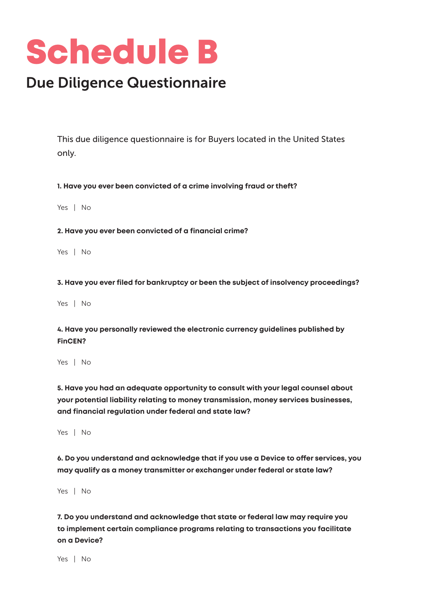## Schedule B

## Due Diligence Questionnaire

This due diligence questionnaire is for Buyers located in the United States only.

**1. Have you ever been convicted of a crime involving fraud or theft?** 

Yes | No

**2. Have you ever been convicted of a financial crime?**

Yes | No

**3. Have you ever filed for bankruptcy or been the subject of insolvency proceedings?**

Yes | No

**4. Have you personally reviewed the electronic currency guidelines published by FinCEN?**

Yes | No

**5. Have you had an adequate opportunity to consult with your legal counsel about your potential liability relating to money transmission, money services businesses, and financial regulation under federal and ate law?**

Yes | No

**6. Do you understand and acknowledge that if you use a Device to offer services, you may qualify as a money transmitter or exchanger under federal or ate law?**

Yes | No

**7. Do you underand and acknowledge that ate or federal law may require you**  to implement certain compliance programs relating to transactions you facilitate **on a Device?**

Yes | No